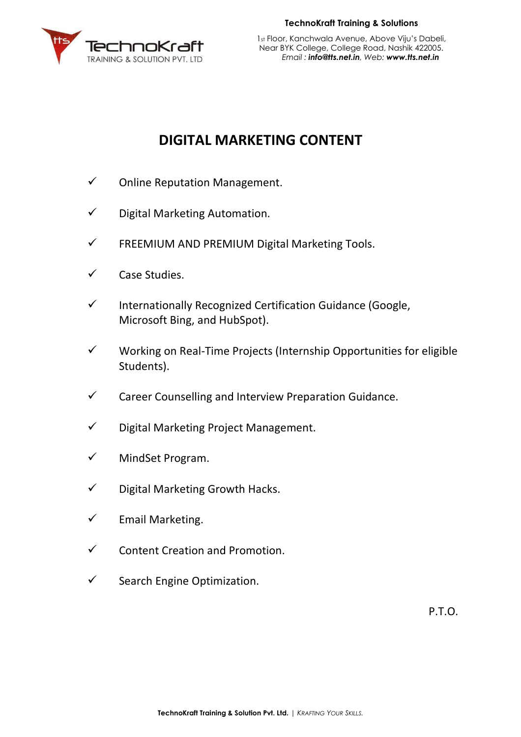

**TechnoKraft Training & Solutions**

1st Floor, Kanchwala Avenue, Above Viju's Dabeli, Near BYK College, College Road, Nashik 422005. *Email : info@tts.net.in, Web: www.tts.net.in*

## **DIGITAL MARKETING CONTENT**

- ✓ Online Reputation Management.
- $\checkmark$  Digital Marketing Automation.
- $\checkmark$  FREEMIUM AND PREMIUM Digital Marketing Tools.
- ✓ Case Studies.
- ✓ Internationally Recognized Certification Guidance (Google, Microsoft Bing, and HubSpot).
- ✓ Working on Real-Time Projects (Internship Opportunities for eligible Students).
- $\checkmark$  Career Counselling and Interview Preparation Guidance.
- ✓ Digital Marketing Project Management.
- ✓ MindSet Program.
- $\checkmark$  Digital Marketing Growth Hacks.
- $\checkmark$  Email Marketing.
- ✓ Content Creation and Promotion.
- ✓ Search Engine Optimization.

P.T.O.